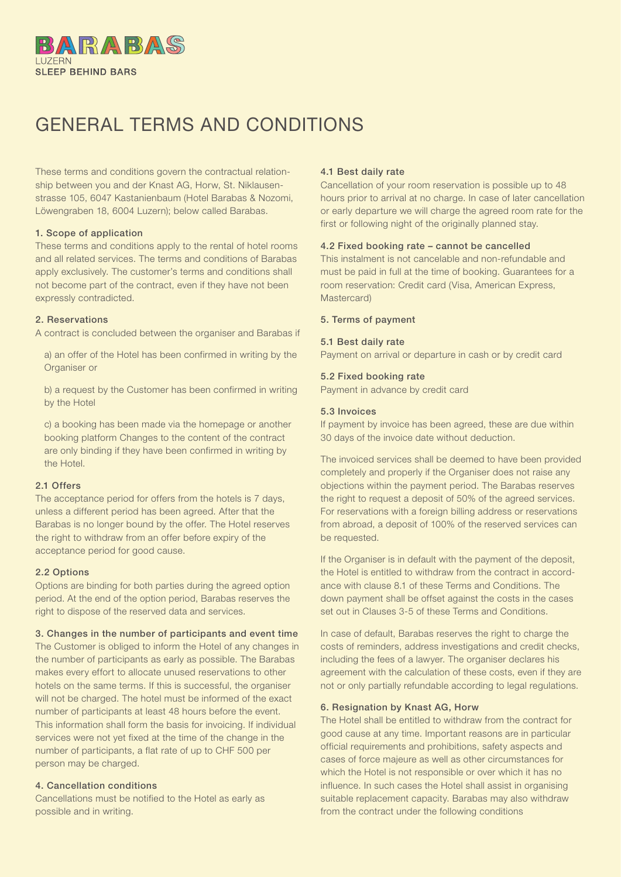

# GENERAL TERMS AND CONDITIONS

These terms and conditions govern the contractual relationship between you and der Knast AG, Horw, St. Niklausenstrasse 105, 6047 Kastanienbaum (Hotel Barabas & Nozomi, Löwengraben 18, 6004 Luzern); below called Barabas.

#### 1. Scope of application

These terms and conditions apply to the rental of hotel rooms and all related services. The terms and conditions of Barabas apply exclusively. The customer's terms and conditions shall not become part of the contract, even if they have not been expressly contradicted.

#### 2. Reservations

A contract is concluded between the organiser and Barabas if

a) an offer of the Hotel has been confirmed in writing by the Organiser or

b) a request by the Customer has been confirmed in writing by the Hotel

c) a booking has been made via the homepage or another booking platform Changes to the content of the contract are only binding if they have been confirmed in writing by the Hotel.

# 2.1 Offers

The acceptance period for offers from the hotels is 7 days, unless a different period has been agreed. After that the Barabas is no longer bound by the offer. The Hotel reserves the right to withdraw from an offer before expiry of the acceptance period for good cause.

#### 2.2 Options

Options are binding for both parties during the agreed option period. At the end of the option period, Barabas reserves the right to dispose of the reserved data and services.

#### 3. Changes in the number of participants and event time

The Customer is obliged to inform the Hotel of any changes in the number of participants as early as possible. The Barabas makes every effort to allocate unused reservations to other hotels on the same terms. If this is successful, the organiser will not be charged. The hotel must be informed of the exact number of participants at least 48 hours before the event. This information shall form the basis for invoicing. If individual services were not yet fixed at the time of the change in the number of participants, a flat rate of up to CHF 500 per person may be charged.

# 4. Cancellation conditions

Cancellations must be notified to the Hotel as early as possible and in writing.

#### 4.1 Best daily rate

Cancellation of your room reservation is possible up to 48 hours prior to arrival at no charge. In case of later cancellation or early departure we will charge the agreed room rate for the first or following night of the originally planned stay.

# 4.2 Fixed booking rate – cannot be cancelled

This instalment is not cancelable and non-refundable and must be paid in full at the time of booking. Guarantees for a room reservation: Credit card (Visa, American Express, Mastercard)

#### 5. Terms of payment

#### 5.1 Best daily rate

Payment on arrival or departure in cash or by credit card

#### 5.2 Fixed booking rate

Payment in advance by credit card

#### 5.3 Invoices

If payment by invoice has been agreed, these are due within 30 days of the invoice date without deduction.

The invoiced services shall be deemed to have been provided completely and properly if the Organiser does not raise any objections within the payment period. The Barabas reserves the right to request a deposit of 50% of the agreed services. For reservations with a foreign billing address or reservations from abroad, a deposit of 100% of the reserved services can be requested.

If the Organiser is in default with the payment of the deposit, the Hotel is entitled to withdraw from the contract in accordance with clause 8.1 of these Terms and Conditions. The down payment shall be offset against the costs in the cases set out in Clauses 3-5 of these Terms and Conditions.

In case of default. Barabas reserves the right to charge the costs of reminders, address investigations and credit checks, including the fees of a lawyer. The organiser declares his agreement with the calculation of these costs, even if they are not or only partially refundable according to legal regulations.

#### 6. Resignation by Knast AG, Horw

The Hotel shall be entitled to withdraw from the contract for good cause at any time. Important reasons are in particular official requirements and prohibitions, safety aspects and cases of force majeure as well as other circumstances for which the Hotel is not responsible or over which it has no influence. In such cases the Hotel shall assist in organising suitable replacement capacity. Barabas may also withdraw from the contract under the following conditions